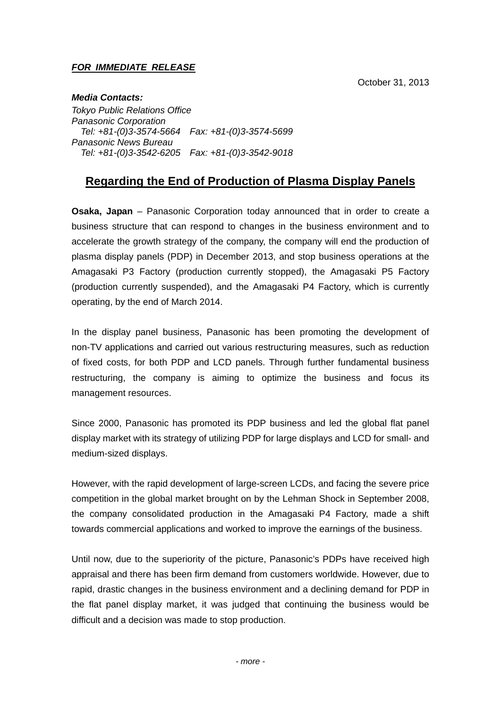#### *FOR IMMEDIATE RELEASE*

October 31, 2013

*Media Contacts: Tokyo Public Relations Office Panasonic Corporation Tel: +81-(0)3-3574-5664 Fax: +81-(0)3-3574-5699 Panasonic News Bureau Tel: +81-(0)3-3542-6205 Fax: +81-(0)3-3542-9018* 

## **Regarding the End of Production of Plasma Display Panels**

**Osaka, Japan** – Panasonic Corporation today announced that in order to create a business structure that can respond to changes in the business environment and to accelerate the growth strategy of the company, the company will end the production of plasma display panels (PDP) in December 2013, and stop business operations at the Amagasaki P3 Factory (production currently stopped), the Amagasaki P5 Factory (production currently suspended), and the Amagasaki P4 Factory, which is currently operating, by the end of March 2014.

In the display panel business, Panasonic has been promoting the development of non-TV applications and carried out various restructuring measures, such as reduction of fixed costs, for both PDP and LCD panels. Through further fundamental business restructuring, the company is aiming to optimize the business and focus its management resources.

Since 2000, Panasonic has promoted its PDP business and led the global flat panel display market with its strategy of utilizing PDP for large displays and LCD for small- and medium-sized displays.

However, with the rapid development of large-screen LCDs, and facing the severe price competition in the global market brought on by the Lehman Shock in September 2008, the company consolidated production in the Amagasaki P4 Factory, made a shift towards commercial applications and worked to improve the earnings of the business.

Until now, due to the superiority of the picture, Panasonic's PDPs have received high appraisal and there has been firm demand from customers worldwide. However, due to rapid, drastic changes in the business environment and a declining demand for PDP in the flat panel display market, it was judged that continuing the business would be difficult and a decision was made to stop production.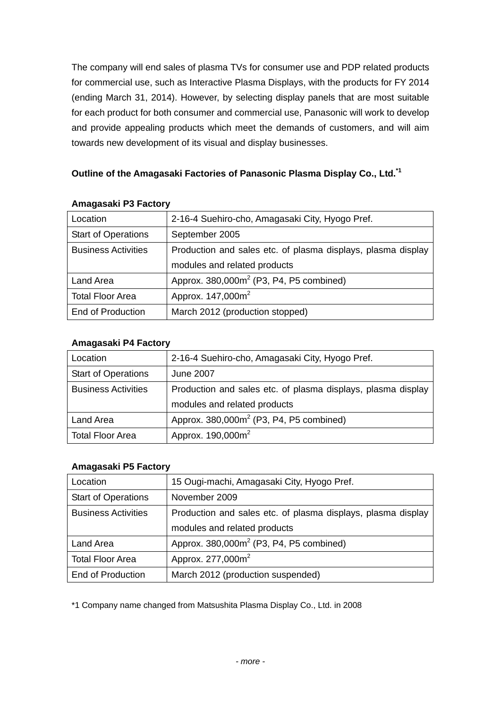The company will end sales of plasma TVs for consumer use and PDP related products for commercial use, such as Interactive Plasma Displays, with the products for FY 2014 (ending March 31, 2014). However, by selecting display panels that are most suitable for each product for both consumer and commercial use, Panasonic will work to develop and provide appealing products which meet the demands of customers, and will aim towards new development of its visual and display businesses.

## **Outline of the Amagasaki Factories of Panasonic Plasma Display Co., Ltd.\*1**

| Location                   | 2-16-4 Suehiro-cho, Amagasaki City, Hyogo Pref.              |
|----------------------------|--------------------------------------------------------------|
| <b>Start of Operations</b> | September 2005                                               |
| <b>Business Activities</b> | Production and sales etc. of plasma displays, plasma display |
|                            | modules and related products                                 |
| Land Area                  | Approx. 380,000m <sup>2</sup> (P3, P4, P5 combined)          |
| <b>Total Floor Area</b>    | Approx. 147,000m <sup>2</sup>                                |
| <b>End of Production</b>   | March 2012 (production stopped)                              |

#### **Amagasaki P3 Factory**

## **Amagasaki P4 Factory**

| Location                   | 2-16-4 Suehiro-cho, Amagasaki City, Hyogo Pref.              |
|----------------------------|--------------------------------------------------------------|
| <b>Start of Operations</b> | <b>June 2007</b>                                             |
| <b>Business Activities</b> | Production and sales etc. of plasma displays, plasma display |
|                            | modules and related products                                 |
| Land Area                  | Approx. 380,000m <sup>2</sup> (P3, P4, P5 combined)          |
| <b>Total Floor Area</b>    | Approx. 190,000m <sup>2</sup>                                |

## **Amagasaki P5 Factory**

| Location                   | 15 Ougi-machi, Amagasaki City, Hyogo Pref.                   |
|----------------------------|--------------------------------------------------------------|
| <b>Start of Operations</b> | November 2009                                                |
| <b>Business Activities</b> | Production and sales etc. of plasma displays, plasma display |
|                            | modules and related products                                 |
| Land Area                  | Approx. 380,000m <sup>2</sup> (P3, P4, P5 combined)          |
| <b>Total Floor Area</b>    | Approx. 277,000m <sup>2</sup>                                |
| <b>End of Production</b>   | March 2012 (production suspended)                            |

\*1 Company name changed from Matsushita Plasma Display Co., Ltd. in 2008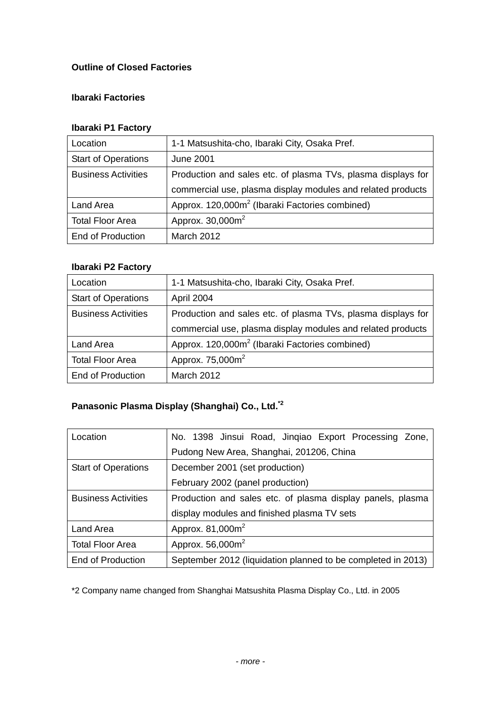## **Outline of Closed Factories**

## **Ibaraki Factories**

## **Ibaraki P1 Factory**

| Location                   | 1-1 Matsushita-cho, Ibaraki City, Osaka Pref.                |
|----------------------------|--------------------------------------------------------------|
| <b>Start of Operations</b> | <b>June 2001</b>                                             |
| <b>Business Activities</b> | Production and sales etc. of plasma TVs, plasma displays for |
|                            | commercial use, plasma display modules and related products  |
| Land Area                  | Approx. 120,000m <sup>2</sup> (Ibaraki Factories combined)   |
| <b>Total Floor Area</b>    | Approx. 30,000m <sup>2</sup>                                 |
| <b>End of Production</b>   | <b>March 2012</b>                                            |

## **Ibaraki P2 Factory**

| Location                   | 1-1 Matsushita-cho, Ibaraki City, Osaka Pref.                |
|----------------------------|--------------------------------------------------------------|
| <b>Start of Operations</b> | April 2004                                                   |
| <b>Business Activities</b> | Production and sales etc. of plasma TVs, plasma displays for |
|                            | commercial use, plasma display modules and related products  |
| Land Area                  | Approx. 120,000m <sup>2</sup> (Ibaraki Factories combined)   |
| <b>Total Floor Area</b>    | Approx. 75,000m <sup>2</sup>                                 |
| <b>End of Production</b>   | <b>March 2012</b>                                            |

# **Panasonic Plasma Display (Shanghai) Co., Ltd.\*2**

| Location                   | No. 1398 Jinsui Road, Jingiao Export Processing Zone,        |
|----------------------------|--------------------------------------------------------------|
|                            | Pudong New Area, Shanghai, 201206, China                     |
| <b>Start of Operations</b> | December 2001 (set production)                               |
|                            | February 2002 (panel production)                             |
| <b>Business Activities</b> | Production and sales etc. of plasma display panels, plasma   |
|                            | display modules and finished plasma TV sets                  |
| Land Area                  | Approx. 81,000m <sup>2</sup>                                 |
| <b>Total Floor Area</b>    | Approx. 56,000m <sup>2</sup>                                 |
| <b>End of Production</b>   | September 2012 (liquidation planned to be completed in 2013) |

\*2 Company name changed from Shanghai Matsushita Plasma Display Co., Ltd. in 2005